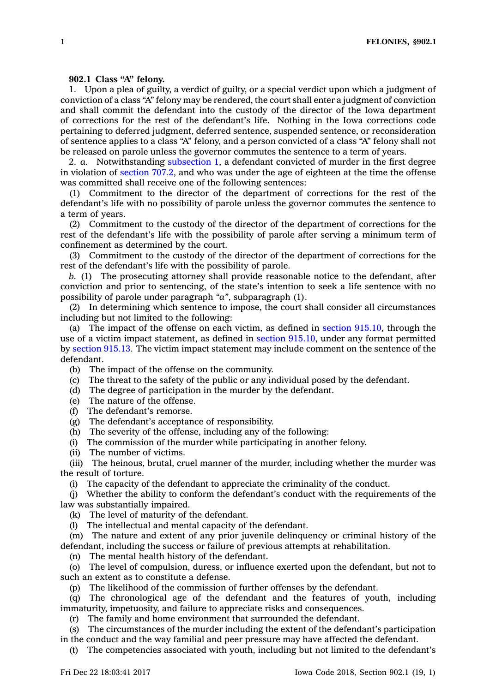## **902.1 Class "A" felony.**

1. Upon <sup>a</sup> plea of guilty, <sup>a</sup> verdict of guilty, or <sup>a</sup> special verdict upon which <sup>a</sup> judgment of conviction of <sup>a</sup> class "A" felony may be rendered, the court shall enter <sup>a</sup> judgment of conviction and shall commit the defendant into the custody of the director of the Iowa department of corrections for the rest of the defendant's life. Nothing in the Iowa corrections code pertaining to deferred judgment, deferred sentence, suspended sentence, or reconsideration of sentence applies to <sup>a</sup> class "A" felony, and <sup>a</sup> person convicted of <sup>a</sup> class "A" felony shall not be released on parole unless the governor commutes the sentence to <sup>a</sup> term of years.

2. *a.* Notwithstanding [subsection](https://www.legis.iowa.gov/docs/code/902.1.pdf) 1, <sup>a</sup> defendant convicted of murder in the first degree in violation of [section](https://www.legis.iowa.gov/docs/code/707.2.pdf) 707.2, and who was under the age of eighteen at the time the offense was committed shall receive one of the following sentences:

(1) Commitment to the director of the department of corrections for the rest of the defendant's life with no possibility of parole unless the governor commutes the sentence to <sup>a</sup> term of years.

(2) Commitment to the custody of the director of the department of corrections for the rest of the defendant's life with the possibility of parole after serving <sup>a</sup> minimum term of confinement as determined by the court.

(3) Commitment to the custody of the director of the department of corrections for the rest of the defendant's life with the possibility of parole.

*b.* (1) The prosecuting attorney shall provide reasonable notice to the defendant, after conviction and prior to sentencing, of the state's intention to seek <sup>a</sup> life sentence with no possibility of parole under paragraph *"a"*, subparagraph (1).

(2) In determining which sentence to impose, the court shall consider all circumstances including but not limited to the following:

(a) The impact of the offense on each victim, as defined in section [915.10](https://www.legis.iowa.gov/docs/code/915.10.pdf), through the use of <sup>a</sup> victim impact statement, as defined in section [915.10](https://www.legis.iowa.gov/docs/code/915.10.pdf), under any format permitted by [section](https://www.legis.iowa.gov/docs/code/915.13.pdf) 915.13. The victim impact statement may include comment on the sentence of the defendant.

(b) The impact of the offense on the community.

(c) The threat to the safety of the public or any individual posed by the defendant.

(d) The degree of participation in the murder by the defendant.

- (e) The nature of the offense.
- (f) The defendant's remorse.

(g) The defendant's acceptance of responsibility.

(h) The severity of the offense, including any of the following:

(i) The commission of the murder while participating in another felony.

(ii) The number of victims.

(iii) The heinous, brutal, cruel manner of the murder, including whether the murder was the result of torture.

(i) The capacity of the defendant to appreciate the criminality of the conduct.

(j) Whether the ability to conform the defendant's conduct with the requirements of the law was substantially impaired.

(k) The level of maturity of the defendant.

(l) The intellectual and mental capacity of the defendant.

(m) The nature and extent of any prior juvenile delinquency or criminal history of the defendant, including the success or failure of previous attempts at rehabilitation.

(n) The mental health history of the defendant.

(o) The level of compulsion, duress, or influence exerted upon the defendant, but not to such an extent as to constitute <sup>a</sup> defense.

(p) The likelihood of the commission of further offenses by the defendant.

(q) The chronological age of the defendant and the features of youth, including immaturity, impetuosity, and failure to appreciate risks and consequences.

(r) The family and home environment that surrounded the defendant.

(s) The circumstances of the murder including the extent of the defendant's participation in the conduct and the way familial and peer pressure may have affected the defendant.

(t) The competencies associated with youth, including but not limited to the defendant's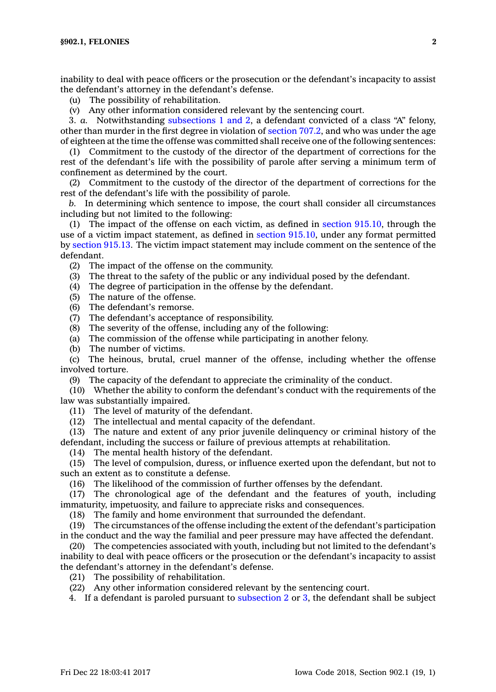inability to deal with peace officers or the prosecution or the defendant's incapacity to assist the defendant's attorney in the defendant's defense.

(u) The possibility of rehabilitation.

(v) Any other information considered relevant by the sentencing court.

3. *a.* Notwithstanding [subsections](https://www.legis.iowa.gov/docs/code/902.1.pdf) 1 and 2, <sup>a</sup> defendant convicted of <sup>a</sup> class "A" felony, other than murder in the first degree in violation of [section](https://www.legis.iowa.gov/docs/code/707.2.pdf) 707.2, and who was under the age of eighteen at the time the offense was committed shall receive one of the following sentences:

(1) Commitment to the custody of the director of the department of corrections for the rest of the defendant's life with the possibility of parole after serving <sup>a</sup> minimum term of confinement as determined by the court.

(2) Commitment to the custody of the director of the department of corrections for the rest of the defendant's life with the possibility of parole.

*b.* In determining which sentence to impose, the court shall consider all circumstances including but not limited to the following:

(1) The impact of the offense on each victim, as defined in section [915.10](https://www.legis.iowa.gov/docs/code/915.10.pdf), through the use of <sup>a</sup> victim impact statement, as defined in section [915.10](https://www.legis.iowa.gov/docs/code/915.10.pdf), under any format permitted by [section](https://www.legis.iowa.gov/docs/code/915.13.pdf) 915.13. The victim impact statement may include comment on the sentence of the defendant.

(2) The impact of the offense on the community.

(3) The threat to the safety of the public or any individual posed by the defendant.

- (4) The degree of participation in the offense by the defendant.
- (5) The nature of the offense.
- (6) The defendant's remorse.

 $(7)$  The defendant's acceptance of responsibility.

- (8) The severity of the offense, including any of the following:
- (a) The commission of the offense while participating in another felony.
- (b) The number of victims.

(c) The heinous, brutal, cruel manner of the offense, including whether the offense involved torture.

(9) The capacity of the defendant to appreciate the criminality of the conduct.

(10) Whether the ability to conform the defendant's conduct with the requirements of the law was substantially impaired.

(11) The level of maturity of the defendant.

(12) The intellectual and mental capacity of the defendant.

(13) The nature and extent of any prior juvenile delinquency or criminal history of the defendant, including the success or failure of previous attempts at rehabilitation.

(14) The mental health history of the defendant.

(15) The level of compulsion, duress, or influence exerted upon the defendant, but not to such an extent as to constitute <sup>a</sup> defense.

(16) The likelihood of the commission of further offenses by the defendant.

(17) The chronological age of the defendant and the features of youth, including immaturity, impetuosity, and failure to appreciate risks and consequences.

(18) The family and home environment that surrounded the defendant.

(19) The circumstances of the offense including the extent of the defendant's participation in the conduct and the way the familial and peer pressure may have affected the defendant.

(20) The competencies associated with youth, including but not limited to the defendant's inability to deal with peace officers or the prosecution or the defendant's incapacity to assist the defendant's attorney in the defendant's defense.

(21) The possibility of rehabilitation.

(22) Any other information considered relevant by the sentencing court.

4. If <sup>a</sup> defendant is paroled pursuant to [subsection](https://www.legis.iowa.gov/docs/code/902.1.pdf) 2 or [3](https://www.legis.iowa.gov/docs/code/902.1.pdf), the defendant shall be subject